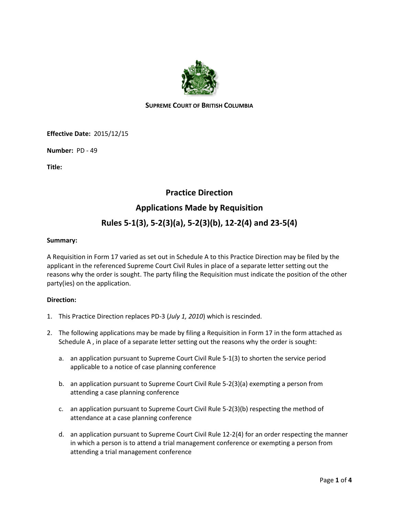

# **SUPREME COURT OF BRITISH COLUMBIA**

**Effective Date:** 2015/12/15

**Number:** PD - 49

**Title:**

# **Practice Direction**

# **Applications Made by Requisition**

# **Rules 5-1(3), 5-2(3)(a), 5-2(3)(b), 12-2(4) and 23-5(4)**

## **Summary:**

A Requisition in Form 17 varied as set out in Schedule A to this Practice Direction may be filed by the applicant in the referenced Supreme Court Civil Rules in place of a separate letter setting out the reasons why the order is sought. The party filing the Requisition must indicate the position of the other party(ies) on the application.

# **Direction:**

- 1. This Practice Direction replaces PD-3 (*July 1, 2010*) which is rescinded.
- 2. The following applications may be made by filing a Requisition in Form 17 in the form attached as Schedule A , in place of a separate letter setting out the reasons why the order is sought:
	- a. an application pursuant to Supreme Court Civil Rule 5-1(3) to shorten the service period applicable to a notice of case planning conference
	- b. an application pursuant to Supreme Court Civil Rule 5-2(3)(a) exempting a person from attending a case planning conference
	- c. an application pursuant to Supreme Court Civil Rule 5-2(3)(b) respecting the method of attendance at a case planning conference
	- d. an application pursuant to Supreme Court Civil Rule 12-2(4) for an order respecting the manner in which a person is to attend a trial management conference or exempting a person from attending a trial management conference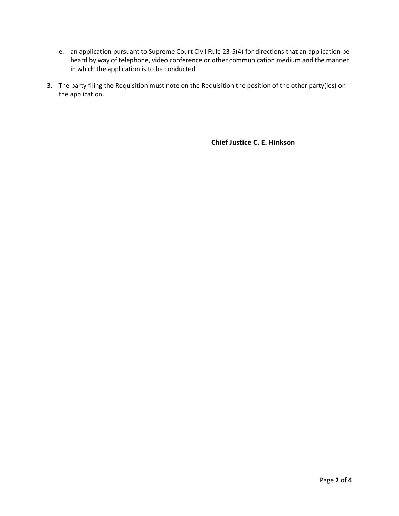- e. an application pursuant to Supreme Court Civil Rule 23-5(4) for directions that an application be heard by way of telephone, video conference or other communication medium and the manner in which the application is to be conducted
- 3. The party filing the Requisition must note on the Requisition the position of the other party(ies) on the application.

**Chief Justice C. E. Hinkson**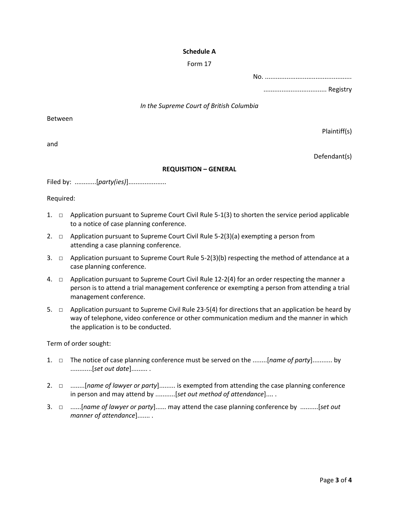## **Schedule A**

#### Form 17

No. ................................................ ................................... Registry

#### *In the Supreme Court of British Columbia*

Between

and

Plaintiff(s)

Defendant(s)

## **REQUISITION – GENERAL**

Filed by: ............[*party(ies)*].....................

Required:

- 1. □ Application pursuant to Supreme Court Civil Rule 5-1(3) to shorten the service period applicable to a notice of case planning conference.
- 2.  $\Box$  Application pursuant to Supreme Court Civil Rule 5-2(3)(a) exempting a person from attending a case planning conference.
- 3.  $\Box$  Application pursuant to Supreme Court Rule 5-2(3)(b) respecting the method of attendance at a case planning conference.
- 4.  $\Box$  Application pursuant to Supreme Court Civil Rule 12-2(4) for an order respecting the manner a person is to attend a trial management conference or exempting a person from attending a trial management conference.
- 5.  $\Box$  Application pursuant to Supreme Civil Rule 23-5(4) for directions that an application be heard by way of telephone, video conference or other communication medium and the manner in which the application is to be conducted.

Term of order sought:

- 1. □ The notice of case planning conference must be served on the ........[*name of party*]........... by ............[*set out date*]......... .
- 2. □ ........[*name of lawyer or party*]......... is exempted from attending the case planning conference in person and may attend by ...........[*set out method of attendance*].... .
- 3. □ ......[*name of lawyer or party*]...... may attend the case planning conference by ..........[*set out manner of attendance*]....... .